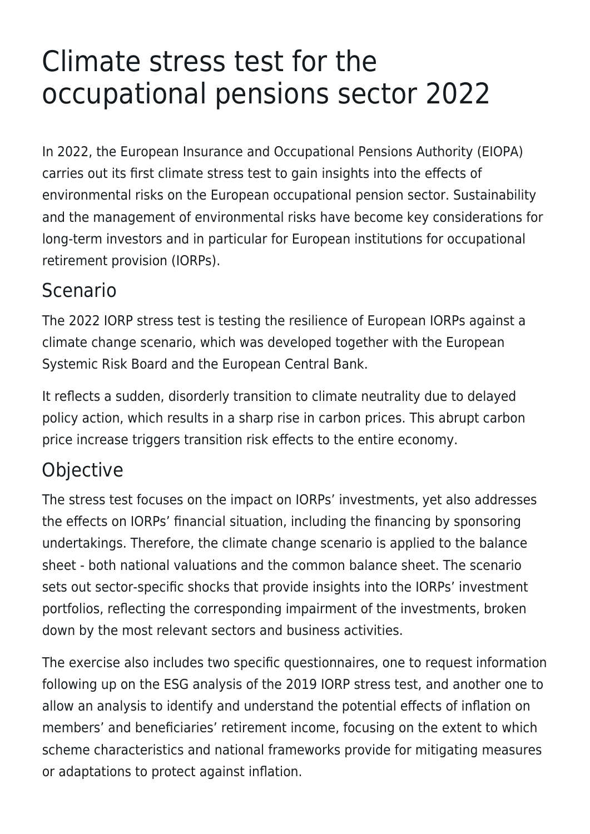# Climate stress test for the occupational pensions sector 2022

In 2022, the European Insurance and Occupational Pensions Authority (EIOPA) carries out its first climate stress test to gain insights into the effects of environmental risks on the European occupational pension sector. Sustainability and the management of environmental risks have become key considerations for long-term investors and in particular for European institutions for occupational retirement provision (IORPs).

#### Scenario

The 2022 IORP stress test is testing the resilience of European IORPs against a climate change scenario, which was developed together with the European Systemic Risk Board and the European Central Bank.

It reflects a sudden, disorderly transition to climate neutrality due to delayed policy action, which results in a sharp rise in carbon prices. This abrupt carbon price increase triggers transition risk effects to the entire economy.

## Objective

The stress test focuses on the impact on IORPs' investments, yet also addresses the effects on IORPs' financial situation, including the financing by sponsoring undertakings. Therefore, the climate change scenario is applied to the balance sheet - both national valuations and the common balance sheet. The scenario sets out sector-specific shocks that provide insights into the IORPs' investment portfolios, reflecting the corresponding impairment of the investments, broken down by the most relevant sectors and business activities.

The exercise also includes two specific questionnaires, one to request information following up on the ESG analysis of the 2019 IORP stress test, and another one to allow an analysis to identify and understand the potential effects of inflation on members' and beneficiaries' retirement income, focusing on the extent to which scheme characteristics and national frameworks provide for mitigating measures or adaptations to protect against inflation.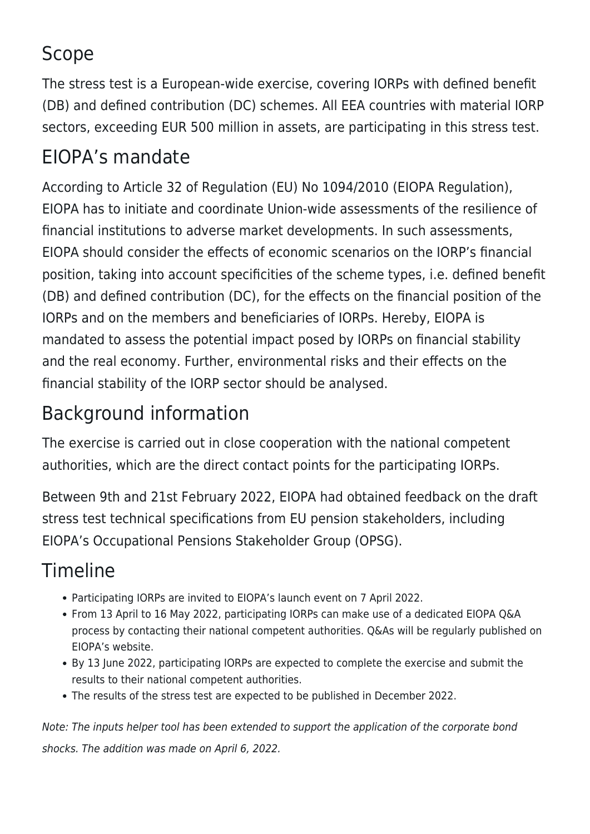## Scope

The stress test is a European-wide exercise, covering IORPs with defined benefit (DB) and defined contribution (DC) schemes. All EEA countries with material IORP sectors, exceeding EUR 500 million in assets, are participating in this stress test.

#### EIOPA's mandate

According to Article 32 of Regulation (EU) No 1094/2010 (EIOPA Regulation), EIOPA has to initiate and coordinate Union-wide assessments of the resilience of financial institutions to adverse market developments. In such assessments, EIOPA should consider the effects of economic scenarios on the IORP's financial position, taking into account specificities of the scheme types, i.e. defined benefit (DB) and defined contribution (DC), for the effects on the financial position of the IORPs and on the members and beneficiaries of IORPs. Hereby, EIOPA is mandated to assess the potential impact posed by IORPs on financial stability and the real economy. Further, environmental risks and their effects on the financial stability of the IORP sector should be analysed.

## Background information

The exercise is carried out in close cooperation with the national competent authorities, which are the direct contact points for the participating IORPs.

Between 9th and 21st February 2022, EIOPA had obtained feedback on the draft stress test technical specifications from EU pension stakeholders, including EIOPA's Occupational Pensions Stakeholder Group (OPSG).

## Timeline

- Participating IORPs are invited to EIOPA's launch event on 7 April 2022.
- From 13 April to 16 May 2022, participating IORPs can make use of a dedicated EIOPA Q&A process by contacting their national competent authorities. Q&As will be regularly published on EIOPA's website.
- By 13 June 2022, participating IORPs are expected to complete the exercise and submit the results to their national competent authorities.
- The results of the stress test are expected to be published in December 2022.

Note: The inputs helper tool has been extended to support the application of the corporate bond shocks. The addition was made on April 6, 2022.